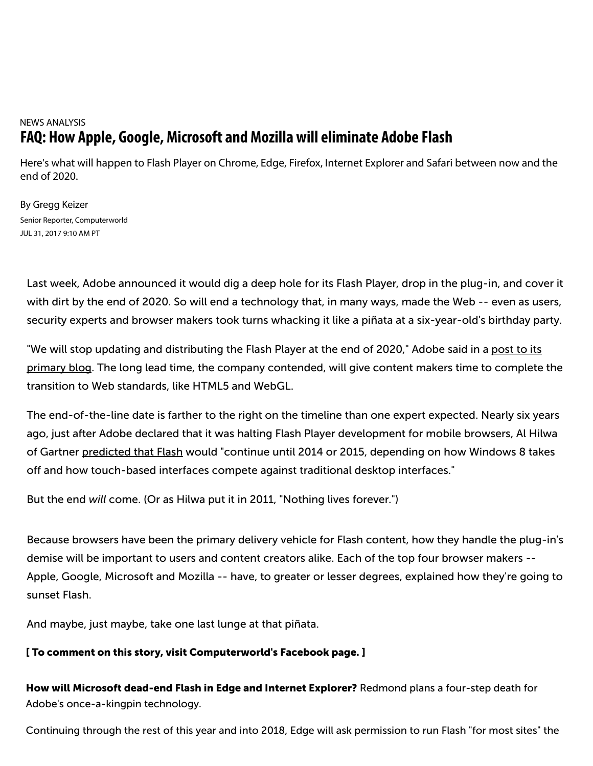# NEWS ANALYSIS **FAQ: How Apple, Google, Microsoft and Mozilla will eliminate Adobe Flash**

Here's what will happen to Flash Player on Chrome, Edge, Firefox, Internet Explorer and Safari between now and the end of 2020.

By Gregg Keizer Senior Reporter, Computerworld JUL 31, 2017 9:10 AM PT

Last week, Adobe announced it would dig a deep hole for its Flash Player, drop in the plug-in, and cover it with dirt by the end of 2020. So will end a technology that, in many ways, made the Web -- even as users, security experts and browser makers took turns whacking it like a piñata at a six-year-old's birthday party.

"We will stop updating and distributing the Flash Player at the end of 2020," Adobe said in a post to its primary blog. The long lead time, the company contended, will give content makers time to complete the transition to Web standards, like HTML5 and WebGL.

The end-of-the-line date is farther to the right on the timeline than one expert expected. Nearly six years ago, just after Adobe declared that it was halting Flash Player development for mobile browsers, Al Hilwa of Gartner predicted that Flash would "continue until 2014 or 2015, depending on how Windows 8 takes off and how touch-based interfaces compete against traditional desktop interfaces."

But the end *will* come. (Or as Hilwa put it in 2011, "Nothing lives forever.")

Because browsers have been the primary delivery vehicle for Flash content, how they handle the plug-in's demise will be important to users and content creators alike. Each of the top four browser makers -- Apple, Google, Microsoft and Mozilla -- have, to greater or lesser degrees, explained how they're going to sunset Flash.

And maybe, just maybe, take one last lunge at that piñata.

### [ To comment on this story, visit Computerworld's Facebook page. ]

How will Microsoft dead-end Flash in Edge and Internet Explorer? Redmond plans a four-step death for Adobe's once-a-kingpin technology.

Continuing through the rest of this year and into 2018, Edge will ask permission to run Flash "for most sites" the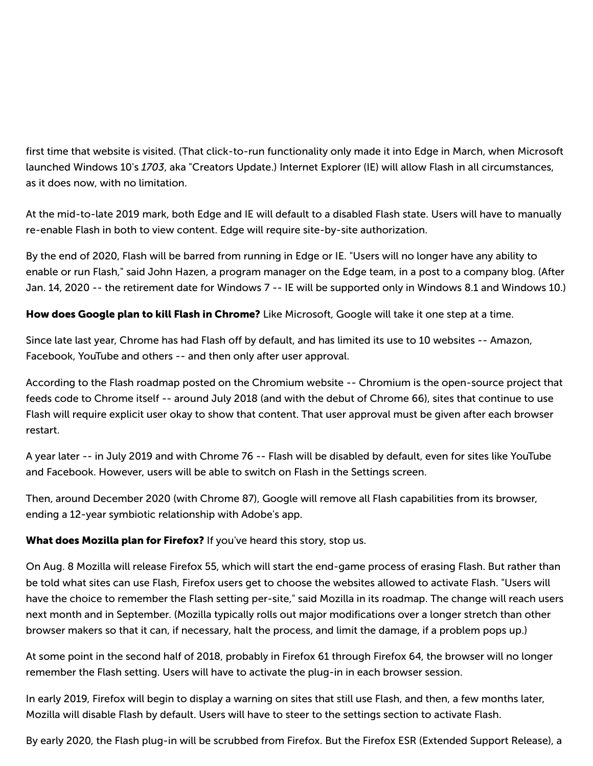first time that website is visited. (That click-to-run functionality only made it into Edge in March, when Microsoft launched Windows 10's *1703*, aka "Creators Update.) Internet Explorer (IE) will allow Flash in all circumstances, as it does now, with no limitation.

At the mid-to-late 2019 mark, both Edge and IE will default to a disabled Flash state. Users will have to manually re-enable Flash in both to view content. Edge will require site-by-site authorization.

By the end of 2020, Flash will be barred from running in Edge or IE. "Users will no longer have any ability to enable or run Flash," said John Hazen, a program manager on the Edge team, in a post to a company blog. (After Jan. 14, 2020 -- the retirement date for Windows 7 -- IE will be supported only in Windows 8.1 and Windows 10.)

How does Google plan to kill Flash in Chrome? Like Microsoft, Google will take it one step at a time.

Since late last year, Chrome has had Flash off by default, and has limited its use to 10 websites -- Amazon, Facebook, YouTube and others -- and then only after user approval.

According to the Flash roadmap posted on the Chromium website -- Chromium is the open-source project that feeds code to Chrome itself -- around July 2018 (and with the debut of Chrome 66), sites that continue to use Flash will require explicit user okay to show that content. That user approval must be given after each browser restart.

A year later -- in July 2019 and with Chrome 76 -- Flash will be disabled by default, even for sites like YouTube and Facebook. However, users will be able to switch on Flash in the Settings screen.

Then, around December 2020 (with Chrome 87), Google will remove all Flash capabilities from its browser, ending a 12-year symbiotic relationship with Adobe's app.

### **What does Mozilla plan for Firefox?** If you've heard this story, stop us.

On Aug. 8 Mozilla will release Firefox 55, which will start the end-game process of erasing Flash. But rather than be told what sites can use Flash, Firefox users get to choose the websites allowed to activate Flash. "Users will have the choice to remember the Flash setting per-site," said Mozilla in its roadmap. The change will reach users next month and in September. (Mozilla typically rolls out major modifications over a longer stretch than other browser makers so that it can, if necessary, halt the process, and limit the damage, if a problem pops up.)

At some point in the second half of 2018, probably in Firefox 61 through Firefox 64, the browser will no longer remember the Flash setting. Users will have to activate the plug-in in each browser session.

In early 2019, Firefox will begin to display a warning on sites that still use Flash, and then, a few months later, Mozilla will disable Flash by default. Users will have to steer to the settings section to activate Flash.

By early 2020, the Flash plug-in will be scrubbed from Firefox. But the Firefox ESR (Extended Support Release), a